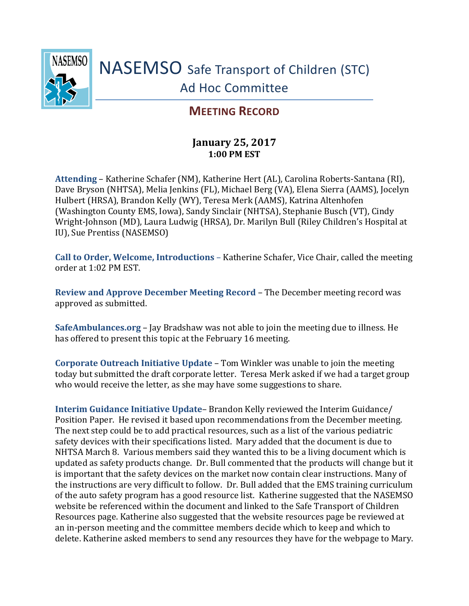

## **MEETING RECORD**

## **January 25, 2017 1:00 PM EST**

**Attending** – Katherine Schafer (NM), Katherine Hert (AL), Carolina Roberts-Santana (RI), Dave Bryson (NHTSA), Melia Jenkins (FL), Michael Berg (VA), Elena Sierra (AAMS), Jocelyn Hulbert (HRSA), Brandon Kelly (WY), Teresa Merk (AAMS), Katrina Altenhofen (Washington County EMS, Iowa), Sandy Sinclair (NHTSA), Stephanie Busch (VT), Cindy Wright-Johnson (MD), Laura Ludwig (HRSA), Dr. Marilyn Bull (Riley Children's Hospital at IU), Sue Prentiss (NASEMSO)

**Call to Order, Welcome, Introductions** – Katherine Schafer, Vice Chair, called the meeting order at 1:02 PM EST.

**Review and Approve December Meeting Record** – The December meeting record was approved as submitted.

**SafeAmbulances.org** – Jay Bradshaw was not able to join the meeting due to illness. He has offered to present this topic at the February 16 meeting.

**Corporate Outreach Initiative Update** – Tom Winkler was unable to join the meeting today but submitted the draft corporate letter. Teresa Merk asked if we had a target group who would receive the letter, as she may have some suggestions to share.

**Interim Guidance Initiative Update**– Brandon Kelly reviewed the Interim Guidance/ Position Paper. He revised it based upon recommendations from the December meeting. The next step could be to add practical resources, such as a list of the various pediatric safety devices with their specifications listed. Mary added that the document is due to NHTSA March 8. Various members said they wanted this to be a living document which is updated as safety products change. Dr. Bull commented that the products will change but it is important that the safety devices on the market now contain clear instructions. Many of the instructions are very difficult to follow. Dr. Bull added that the EMS training curriculum of the auto safety program has a good resource list. Katherine suggested that the NASEMSO website be referenced within the document and linked to the Safe Transport of Children Resources page. Katherine also suggested that the website resources page be reviewed at an in-person meeting and the committee members decide which to keep and which to delete. Katherine asked members to send any resources they have for the webpage to Mary.